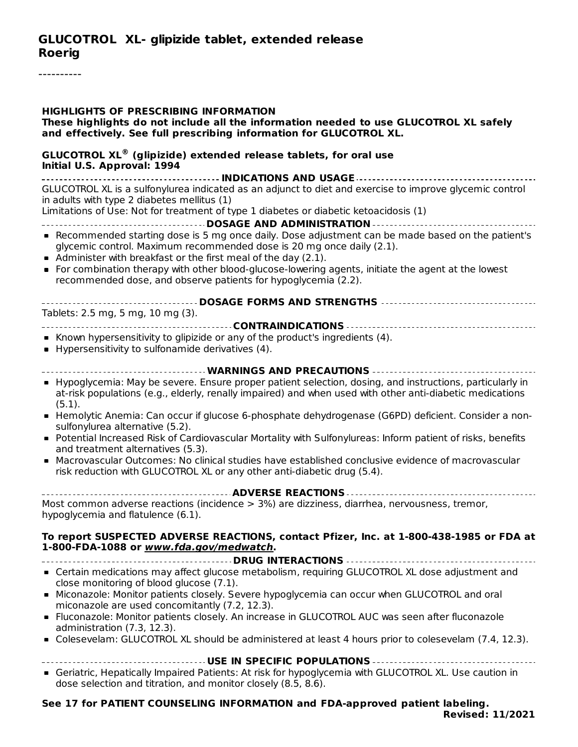#### **GLUCOTROL XL- glipizide tablet, extended release Roerig**

----------

| <b>HIGHLIGHTS OF PRESCRIBING INFORMATION</b><br>These highlights do not include all the information needed to use GLUCOTROL XL safely<br>and effectively. See full prescribing information for GLUCOTROL XL.                                                                                                                                                                                                             |
|--------------------------------------------------------------------------------------------------------------------------------------------------------------------------------------------------------------------------------------------------------------------------------------------------------------------------------------------------------------------------------------------------------------------------|
| <b>GLUCOTROL XL<sup>®</sup> (glipizide) extended release tablets, for oral use</b><br>Initial U.S. Approval: 1994                                                                                                                                                                                                                                                                                                        |
| GLUCOTROL XL is a sulfonylurea indicated as an adjunct to diet and exercise to improve glycemic control<br>in adults with type 2 diabetes mellitus (1)<br>Limitations of Use: Not for treatment of type 1 diabetes or diabetic ketoacidosis (1)                                                                                                                                                                          |
| • Recommended starting dose is 5 mg once daily. Dose adjustment can be made based on the patient's<br>glycemic control. Maximum recommended dose is 20 mg once daily (2.1).<br>• Administer with breakfast or the first meal of the day (2.1).<br>• For combination therapy with other blood-glucose-lowering agents, initiate the agent at the lowest<br>recommended dose, and observe patients for hypoglycemia (2.2). |
| Tablets: 2.5 mg, 5 mg, 10 mg (3).                                                                                                                                                                                                                                                                                                                                                                                        |
| • Known hypersensitivity to glipizide or any of the product's ingredients (4).<br>• Hypersensitivity to sulfonamide derivatives (4).                                                                                                                                                                                                                                                                                     |
| ------------------------------- WARNINGS AND PRECAUTIONS ------------------------------                                                                                                                                                                                                                                                                                                                                  |
| • Hypoglycemia: May be severe. Ensure proper patient selection, dosing, and instructions, particularly in<br>at-risk populations (e.g., elderly, renally impaired) and when used with other anti-diabetic medications<br>(5.1).                                                                                                                                                                                          |
| - Hemolytic Anemia: Can occur if glucose 6-phosphate dehydrogenase (G6PD) deficient. Consider a non-<br>sulfonylurea alternative (5.2).                                                                                                                                                                                                                                                                                  |
| • Potential Increased Risk of Cardiovascular Mortality with Sulfonylureas: Inform patient of risks, benefits<br>and treatment alternatives (5.3).                                                                                                                                                                                                                                                                        |
| • Macrovascular Outcomes: No clinical studies have established conclusive evidence of macrovascular<br>risk reduction with GLUCOTROL XL or any other anti-diabetic drug (5.4).                                                                                                                                                                                                                                           |
|                                                                                                                                                                                                                                                                                                                                                                                                                          |
| Most common adverse reactions (incidence > 3%) are dizziness, diarrhea, nervousness, tremor,<br>hypoglycemia and flatulence (6.1).                                                                                                                                                                                                                                                                                       |
| To report SUSPECTED ADVERSE REACTIONS, contact Pfizer, Inc. at 1-800-438-1985 or FDA at<br>1-800-FDA-1088 or www.fda.gov/medwatch.<br>------------------------- DRUG INTERACTIONS ------------                                                                                                                                                                                                                           |
| • Certain medications may affect glucose metabolism, requiring GLUCOTROL XL dose adjustment and                                                                                                                                                                                                                                                                                                                          |
| close monitoring of blood glucose (7.1).<br>• Miconazole: Monitor patients closely. Severe hypoglycemia can occur when GLUCOTROL and oral                                                                                                                                                                                                                                                                                |
| miconazole are used concomitantly (7.2, 12.3).<br>• Fluconazole: Monitor patients closely. An increase in GLUCOTROL AUC was seen after fluconazole                                                                                                                                                                                                                                                                       |
| administration (7.3, 12.3).<br>• Colesevelam: GLUCOTROL XL should be administered at least 4 hours prior to colesevelam (7.4, 12.3).                                                                                                                                                                                                                                                                                     |
|                                                                                                                                                                                                                                                                                                                                                                                                                          |
| USE IN SPECIFIC POPULATIONS<br>Geriatric, Hepatically Impaired Patients: At risk for hypoglycemia with GLUCOTROL XL. Use caution in<br>dose selection and titration, and monitor closely (8.5, 8.6).                                                                                                                                                                                                                     |

#### **See 17 for PATIENT COUNSELING INFORMATION and FDA-approved patient labeling. Revised: 11/2021**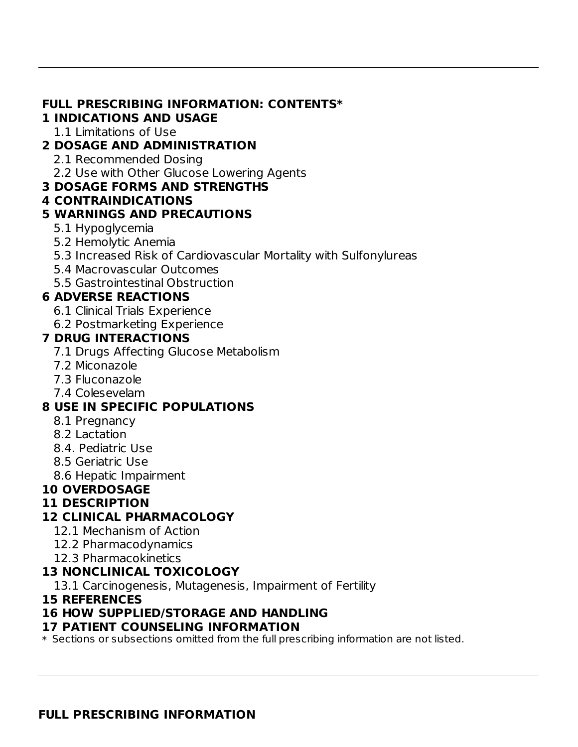#### **FULL PRESCRIBING INFORMATION: CONTENTS\***

#### **1 INDICATIONS AND USAGE**

1.1 Limitations of Use

### **2 DOSAGE AND ADMINISTRATION**

- 2.1 Recommended Dosing
- 2.2 Use with Other Glucose Lowering Agents

#### **3 DOSAGE FORMS AND STRENGTHS**

**4 CONTRAINDICATIONS**

### **5 WARNINGS AND PRECAUTIONS**

- 5.1 Hypoglycemia
- 5.2 Hemolytic Anemia
- 5.3 Increased Risk of Cardiovascular Mortality with Sulfonylureas
- 5.4 Macrovascular Outcomes
- 5.5 Gastrointestinal Obstruction

## **6 ADVERSE REACTIONS**

- 6.1 Clinical Trials Experience
- 6.2 Postmarketing Experience

### **7 DRUG INTERACTIONS**

- 7.1 Drugs Affecting Glucose Metabolism
- 7.2 Miconazole
- 7.3 Fluconazole
- 7.4 Colesevelam

### **8 USE IN SPECIFIC POPULATIONS**

- 8.1 Pregnancy
- 8.2 Lactation
- 8.4. Pediatric Use
- 8.5 Geriatric Use
- 8.6 Hepatic Impairment

# **10 OVERDOSAGE**

### **11 DESCRIPTION**

# **12 CLINICAL PHARMACOLOGY**

- 12.1 Mechanism of Action
- 12.2 Pharmacodynamics
- 12.3 Pharmacokinetics

# **13 NONCLINICAL TOXICOLOGY**

13.1 Carcinogenesis, Mutagenesis, Impairment of Fertility

### **15 REFERENCES**

### **16 HOW SUPPLIED/STORAGE AND HANDLING**

### **17 PATIENT COUNSELING INFORMATION**

 $\ast$  Sections or subsections omitted from the full prescribing information are not listed.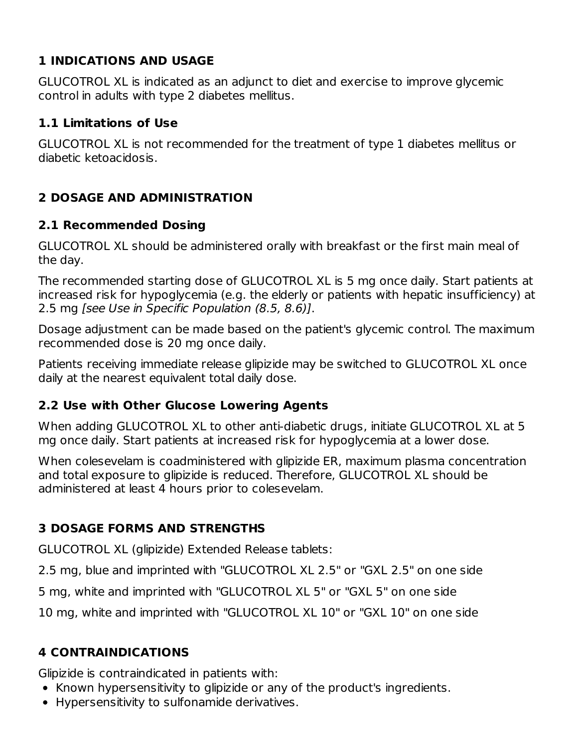# **1 INDICATIONS AND USAGE**

GLUCOTROL XL is indicated as an adjunct to diet and exercise to improve glycemic control in adults with type 2 diabetes mellitus.

#### **1.1 Limitations of Use**

GLUCOTROL XL is not recommended for the treatment of type 1 diabetes mellitus or diabetic ketoacidosis.

## **2 DOSAGE AND ADMINISTRATION**

#### **2.1 Recommended Dosing**

GLUCOTROL XL should be administered orally with breakfast or the first main meal of the day.

The recommended starting dose of GLUCOTROL XL is 5 mg once daily. Start patients at increased risk for hypoglycemia (e.g. the elderly or patients with hepatic insufficiency) at 2.5 mg [see Use in Specific Population (8.5, 8.6)].

Dosage adjustment can be made based on the patient's glycemic control. The maximum recommended dose is 20 mg once daily.

Patients receiving immediate release glipizide may be switched to GLUCOTROL XL once daily at the nearest equivalent total daily dose.

### **2.2 Use with Other Glucose Lowering Agents**

When adding GLUCOTROL XL to other anti-diabetic drugs, initiate GLUCOTROL XL at 5 mg once daily. Start patients at increased risk for hypoglycemia at a lower dose.

When colesevelam is coadministered with glipizide ER, maximum plasma concentration and total exposure to glipizide is reduced. Therefore, GLUCOTROL XL should be administered at least 4 hours prior to colesevelam.

### **3 DOSAGE FORMS AND STRENGTHS**

GLUCOTROL XL (glipizide) Extended Release tablets:

2.5 mg, blue and imprinted with "GLUCOTROL XL 2.5" or "GXL 2.5" on one side

5 mg, white and imprinted with "GLUCOTROL XL 5" or "GXL 5" on one side

10 mg, white and imprinted with "GLUCOTROL XL 10" or "GXL 10" on one side

# **4 CONTRAINDICATIONS**

Glipizide is contraindicated in patients with:

- Known hypersensitivity to glipizide or any of the product's ingredients.
- Hypersensitivity to sulfonamide derivatives.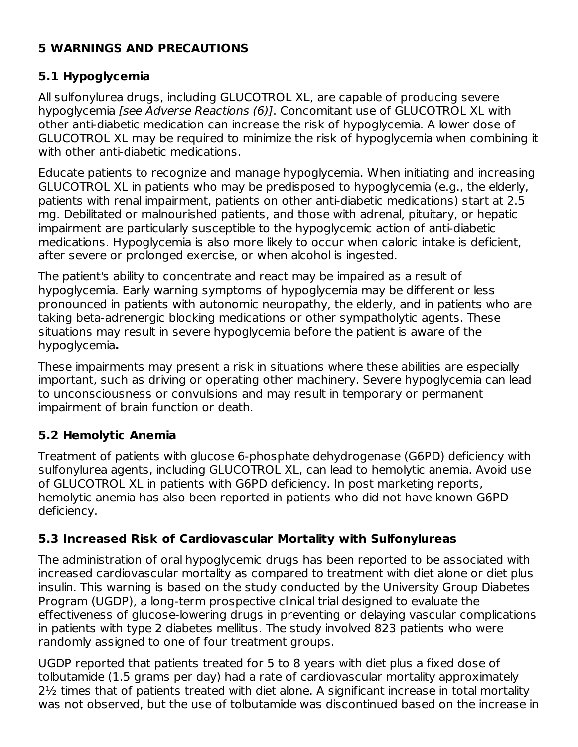### **5 WARNINGS AND PRECAUTIONS**

## **5.1 Hypoglycemia**

All sulfonylurea drugs, including GLUCOTROL XL, are capable of producing severe hypoglycemia [see Adverse Reactions (6)]. Concomitant use of GLUCOTROL XL with other anti-diabetic medication can increase the risk of hypoglycemia. A lower dose of GLUCOTROL XL may be required to minimize the risk of hypoglycemia when combining it with other anti-diabetic medications.

Educate patients to recognize and manage hypoglycemia. When initiating and increasing GLUCOTROL XL in patients who may be predisposed to hypoglycemia (e.g., the elderly, patients with renal impairment, patients on other anti-diabetic medications) start at 2.5 mg. Debilitated or malnourished patients, and those with adrenal, pituitary, or hepatic impairment are particularly susceptible to the hypoglycemic action of anti-diabetic medications. Hypoglycemia is also more likely to occur when caloric intake is deficient, after severe or prolonged exercise, or when alcohol is ingested.

The patient's ability to concentrate and react may be impaired as a result of hypoglycemia. Early warning symptoms of hypoglycemia may be different or less pronounced in patients with autonomic neuropathy, the elderly, and in patients who are taking beta-adrenergic blocking medications or other sympatholytic agents. These situations may result in severe hypoglycemia before the patient is aware of the hypoglycemia**.**

These impairments may present a risk in situations where these abilities are especially important, such as driving or operating other machinery. Severe hypoglycemia can lead to unconsciousness or convulsions and may result in temporary or permanent impairment of brain function or death.

# **5.2 Hemolytic Anemia**

Treatment of patients with glucose 6-phosphate dehydrogenase (G6PD) deficiency with sulfonylurea agents, including GLUCOTROL XL, can lead to hemolytic anemia. Avoid use of GLUCOTROL XL in patients with G6PD deficiency. In post marketing reports, hemolytic anemia has also been reported in patients who did not have known G6PD deficiency.

# **5.3 Increased Risk of Cardiovascular Mortality with Sulfonylureas**

The administration of oral hypoglycemic drugs has been reported to be associated with increased cardiovascular mortality as compared to treatment with diet alone or diet plus insulin. This warning is based on the study conducted by the University Group Diabetes Program (UGDP), a long-term prospective clinical trial designed to evaluate the effectiveness of glucose-lowering drugs in preventing or delaying vascular complications in patients with type 2 diabetes mellitus. The study involved 823 patients who were randomly assigned to one of four treatment groups.

UGDP reported that patients treated for 5 to 8 years with diet plus a fixed dose of tolbutamide (1.5 grams per day) had a rate of cardiovascular mortality approximately 2½ times that of patients treated with diet alone. A significant increase in total mortality was not observed, but the use of tolbutamide was discontinued based on the increase in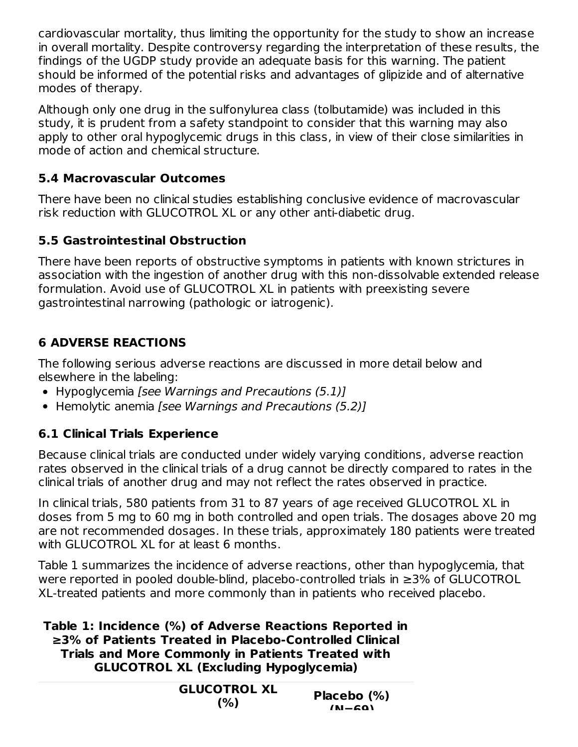cardiovascular mortality, thus limiting the opportunity for the study to show an increase in overall mortality. Despite controversy regarding the interpretation of these results, the findings of the UGDP study provide an adequate basis for this warning. The patient should be informed of the potential risks and advantages of glipizide and of alternative modes of therapy.

Although only one drug in the sulfonylurea class (tolbutamide) was included in this study, it is prudent from a safety standpoint to consider that this warning may also apply to other oral hypoglycemic drugs in this class, in view of their close similarities in mode of action and chemical structure.

## **5.4 Macrovascular Outcomes**

There have been no clinical studies establishing conclusive evidence of macrovascular risk reduction with GLUCOTROL XL or any other anti-diabetic drug.

## **5.5 Gastrointestinal Obstruction**

There have been reports of obstructive symptoms in patients with known strictures in association with the ingestion of another drug with this non-dissolvable extended release formulation. Avoid use of GLUCOTROL XL in patients with preexisting severe gastrointestinal narrowing (pathologic or iatrogenic).

# **6 ADVERSE REACTIONS**

The following serious adverse reactions are discussed in more detail below and elsewhere in the labeling:

- Hypoglycemia [see Warnings and Precautions (5.1)]
- Hemolytic anemia [see Warnings and Precautions (5.2)]

# **6.1 Clinical Trials Experience**

Because clinical trials are conducted under widely varying conditions, adverse reaction rates observed in the clinical trials of a drug cannot be directly compared to rates in the clinical trials of another drug and may not reflect the rates observed in practice.

In clinical trials, 580 patients from 31 to 87 years of age received GLUCOTROL XL in doses from 5 mg to 60 mg in both controlled and open trials. The dosages above 20 mg are not recommended dosages. In these trials, approximately 180 patients were treated with GLUCOTROL XL for at least 6 months.

Table 1 summarizes the incidence of adverse reactions, other than hypoglycemia, that were reported in pooled double-blind, placebo-controlled trials in ≥3% of GLUCOTROL XL-treated patients and more commonly than in patients who received placebo.

**Table 1: Incidence (%) of Adverse Reactions Reported in ≥3% of Patients Treated in Placebo-Controlled Clinical Trials and More Commonly in Patients Treated with GLUCOTROL XL (Excluding Hypoglycemia)**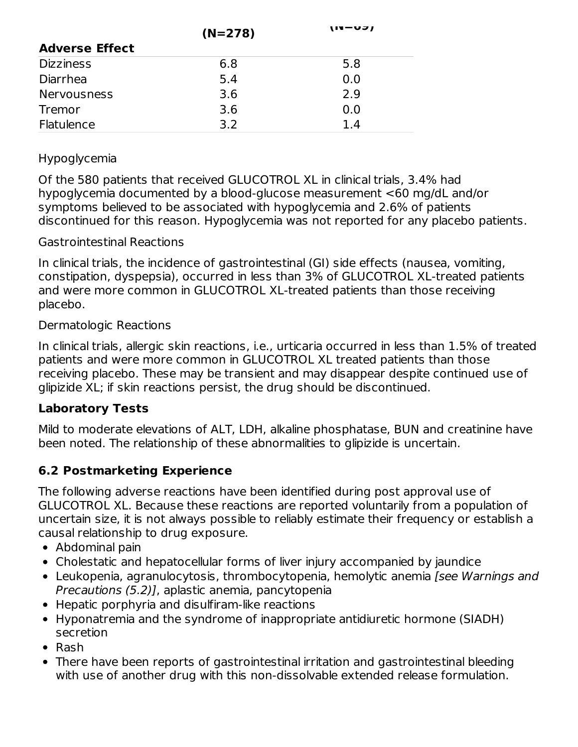|                       | $(N=278)$ | (14–VJ) |
|-----------------------|-----------|---------|
| <b>Adverse Effect</b> |           |         |
| <b>Dizziness</b>      | 6.8       | 5.8     |
| Diarrhea              | 5.4       | 0.0     |
| <b>Nervousness</b>    | 3.6       | 2.9     |
| Tremor                | 3.6       | 0.0     |
| Flatulence            | 3.2       | 1.4     |

#### Hypoglycemia

Of the 580 patients that received GLUCOTROL XL in clinical trials, 3.4% had hypoglycemia documented by a blood-glucose measurement <60 mg/dL and/or symptoms believed to be associated with hypoglycemia and 2.6% of patients discontinued for this reason. Hypoglycemia was not reported for any placebo patients.

#### Gastrointestinal Reactions

In clinical trials, the incidence of gastrointestinal (GI) side effects (nausea, vomiting, constipation, dyspepsia), occurred in less than 3% of GLUCOTROL XL-treated patients and were more common in GLUCOTROL XL-treated patients than those receiving placebo.

#### Dermatologic Reactions

In clinical trials, allergic skin reactions, i.e., urticaria occurred in less than 1.5% of treated patients and were more common in GLUCOTROL XL treated patients than those receiving placebo. These may be transient and may disappear despite continued use of glipizide XL; if skin reactions persist, the drug should be discontinued.

### **Laboratory Tests**

Mild to moderate elevations of ALT, LDH, alkaline phosphatase, BUN and creatinine have been noted. The relationship of these abnormalities to glipizide is uncertain.

# **6.2 Postmarketing Experience**

The following adverse reactions have been identified during post approval use of GLUCOTROL XL. Because these reactions are reported voluntarily from a population of uncertain size, it is not always possible to reliably estimate their frequency or establish a causal relationship to drug exposure.

- Abdominal pain
- Cholestatic and hepatocellular forms of liver injury accompanied by jaundice
- Leukopenia, agranulocytosis, thrombocytopenia, hemolytic anemia [see Warnings and Precautions (5.2)], aplastic anemia, pancytopenia
- Hepatic porphyria and disulfiram-like reactions
- Hyponatremia and the syndrome of inappropriate antidiuretic hormone (SIADH) secretion
- $\bullet$  Rash
- There have been reports of gastrointestinal irritation and gastrointestinal bleeding with use of another drug with this non-dissolvable extended release formulation.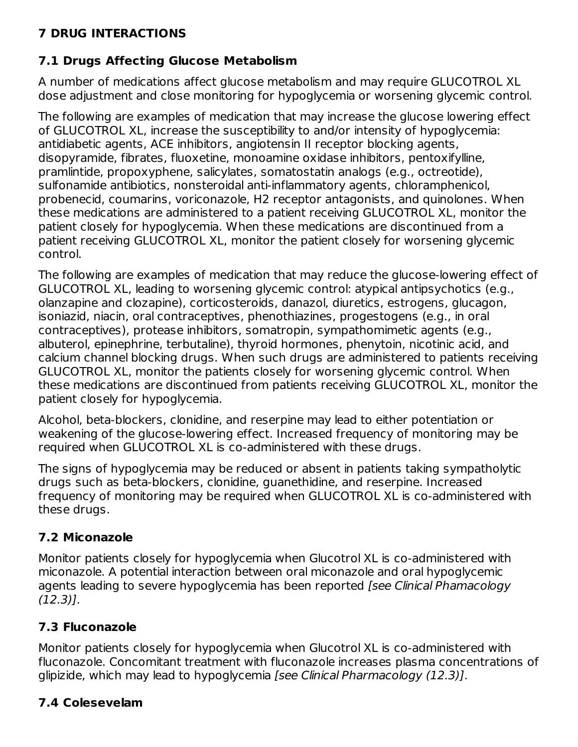# **7 DRUG INTERACTIONS**

# **7.1 Drugs Affecting Glucose Metabolism**

A number of medications affect glucose metabolism and may require GLUCOTROL XL dose adjustment and close monitoring for hypoglycemia or worsening glycemic control.

The following are examples of medication that may increase the glucose lowering effect of GLUCOTROL XL, increase the susceptibility to and/or intensity of hypoglycemia: antidiabetic agents, ACE inhibitors, angiotensin II receptor blocking agents, disopyramide, fibrates, fluoxetine, monoamine oxidase inhibitors, pentoxifylline, pramlintide, propoxyphene, salicylates, somatostatin analogs (e.g., octreotide), sulfonamide antibiotics, nonsteroidal anti-inflammatory agents, chloramphenicol, probenecid, coumarins, voriconazole, H2 receptor antagonists, and quinolones. When these medications are administered to a patient receiving GLUCOTROL XL, monitor the patient closely for hypoglycemia. When these medications are discontinued from a patient receiving GLUCOTROL XL, monitor the patient closely for worsening glycemic control.

The following are examples of medication that may reduce the glucose-lowering effect of GLUCOTROL XL, leading to worsening glycemic control: atypical antipsychotics (e.g., olanzapine and clozapine), corticosteroids, danazol, diuretics, estrogens, glucagon, isoniazid, niacin, oral contraceptives, phenothiazines, progestogens (e.g., in oral contraceptives), protease inhibitors, somatropin, sympathomimetic agents (e.g., albuterol, epinephrine, terbutaline), thyroid hormones, phenytoin, nicotinic acid, and calcium channel blocking drugs. When such drugs are administered to patients receiving GLUCOTROL XL, monitor the patients closely for worsening glycemic control. When these medications are discontinued from patients receiving GLUCOTROL XL, monitor the patient closely for hypoglycemia.

Alcohol, beta-blockers, clonidine, and reserpine may lead to either potentiation or weakening of the glucose-lowering effect. Increased frequency of monitoring may be required when GLUCOTROL XL is co-administered with these drugs.

The signs of hypoglycemia may be reduced or absent in patients taking sympatholytic drugs such as beta-blockers, clonidine, guanethidine, and reserpine. Increased frequency of monitoring may be required when GLUCOTROL XL is co-administered with these drugs.

# **7.2 Miconazole**

Monitor patients closely for hypoglycemia when Glucotrol XL is co-administered with miconazole. A potential interaction between oral miconazole and oral hypoglycemic agents leading to severe hypoglycemia has been reported [see Clinical Phamacology (12.3)].

# **7.3 Fluconazole**

Monitor patients closely for hypoglycemia when Glucotrol XL is co-administered with fluconazole. Concomitant treatment with fluconazole increases plasma concentrations of glipizide, which may lead to hypoglycemia [see Clinical Pharmacology (12.3)].

# **7.4 Colesevelam**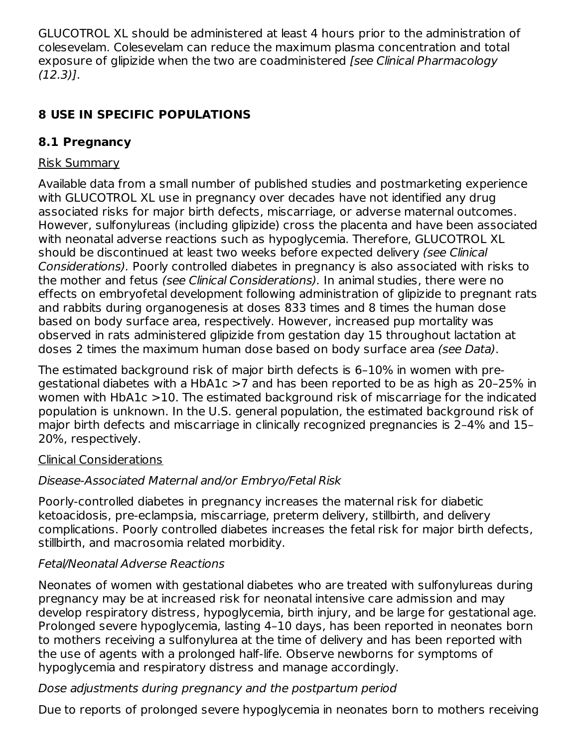GLUCOTROL XL should be administered at least 4 hours prior to the administration of colesevelam. Colesevelam can reduce the maximum plasma concentration and total exposure of glipizide when the two are coadministered *[see Clinical Pharmacology* (12.3)].

# **8 USE IN SPECIFIC POPULATIONS**

# **8.1 Pregnancy**

## Risk Summary

Available data from a small number of published studies and postmarketing experience with GLUCOTROL XL use in pregnancy over decades have not identified any drug associated risks for major birth defects, miscarriage, or adverse maternal outcomes. However, sulfonylureas (including glipizide) cross the placenta and have been associated with neonatal adverse reactions such as hypoglycemia. Therefore, GLUCOTROL XL should be discontinued at least two weeks before expected delivery (see Clinical Considerations). Poorly controlled diabetes in pregnancy is also associated with risks to the mother and fetus (see Clinical Considerations). In animal studies, there were no effects on embryofetal development following administration of glipizide to pregnant rats and rabbits during organogenesis at doses 833 times and 8 times the human dose based on body surface area, respectively. However, increased pup mortality was observed in rats administered glipizide from gestation day 15 throughout lactation at doses 2 times the maximum human dose based on body surface area (see Data).

The estimated background risk of major birth defects is 6–10% in women with pregestational diabetes with a HbA1c >7 and has been reported to be as high as 20–25% in women with HbA1c >10. The estimated background risk of miscarriage for the indicated population is unknown. In the U.S. general population, the estimated background risk of major birth defects and miscarriage in clinically recognized pregnancies is 2–4% and 15– 20%, respectively.

### Clinical Considerations

# Disease-Associated Maternal and/or Embryo/Fetal Risk

Poorly-controlled diabetes in pregnancy increases the maternal risk for diabetic ketoacidosis, pre-eclampsia, miscarriage, preterm delivery, stillbirth, and delivery complications. Poorly controlled diabetes increases the fetal risk for major birth defects, stillbirth, and macrosomia related morbidity.

# Fetal/Neonatal Adverse Reactions

Neonates of women with gestational diabetes who are treated with sulfonylureas during pregnancy may be at increased risk for neonatal intensive care admission and may develop respiratory distress, hypoglycemia, birth injury, and be large for gestational age. Prolonged severe hypoglycemia, lasting 4–10 days, has been reported in neonates born to mothers receiving a sulfonylurea at the time of delivery and has been reported with the use of agents with a prolonged half-life. Observe newborns for symptoms of hypoglycemia and respiratory distress and manage accordingly.

# Dose adjustments during pregnancy and the postpartum period

Due to reports of prolonged severe hypoglycemia in neonates born to mothers receiving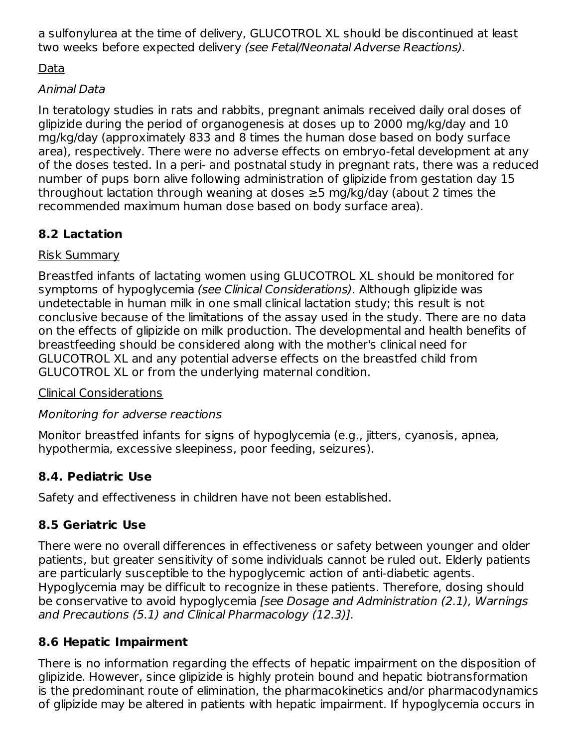a sulfonylurea at the time of delivery, GLUCOTROL XL should be discontinued at least two weeks before expected delivery (see Fetal/Neonatal Adverse Reactions).

Data

### Animal Data

In teratology studies in rats and rabbits, pregnant animals received daily oral doses of glipizide during the period of organogenesis at doses up to 2000 mg/kg/day and 10 mg/kg/day (approximately 833 and 8 times the human dose based on body surface area), respectively. There were no adverse effects on embryo-fetal development at any of the doses tested. In a peri- and postnatal study in pregnant rats, there was a reduced number of pups born alive following administration of glipizide from gestation day 15 throughout lactation through weaning at doses ≥5 mg/kg/day (about 2 times the recommended maximum human dose based on body surface area).

# **8.2 Lactation**

# Risk Summary

Breastfed infants of lactating women using GLUCOTROL XL should be monitored for symptoms of hypoglycemia (see Clinical Considerations). Although glipizide was undetectable in human milk in one small clinical lactation study; this result is not conclusive because of the limitations of the assay used in the study. There are no data on the effects of glipizide on milk production. The developmental and health benefits of breastfeeding should be considered along with the mother's clinical need for GLUCOTROL XL and any potential adverse effects on the breastfed child from GLUCOTROL XL or from the underlying maternal condition.

# Clinical Considerations

# Monitoring for adverse reactions

Monitor breastfed infants for signs of hypoglycemia (e.g., jitters, cyanosis, apnea, hypothermia, excessive sleepiness, poor feeding, seizures).

# **8.4. Pediatric Use**

Safety and effectiveness in children have not been established.

# **8.5 Geriatric Use**

There were no overall differences in effectiveness or safety between younger and older patients, but greater sensitivity of some individuals cannot be ruled out. Elderly patients are particularly susceptible to the hypoglycemic action of anti-diabetic agents. Hypoglycemia may be difficult to recognize in these patients. Therefore, dosing should be conservative to avoid hypoglycemia [see Dosage and Administration (2.1), Warnings and Precautions (5.1) and Clinical Pharmacology (12.3)].

# **8.6 Hepatic Impairment**

There is no information regarding the effects of hepatic impairment on the disposition of glipizide. However, since glipizide is highly protein bound and hepatic biotransformation is the predominant route of elimination, the pharmacokinetics and/or pharmacodynamics of glipizide may be altered in patients with hepatic impairment. If hypoglycemia occurs in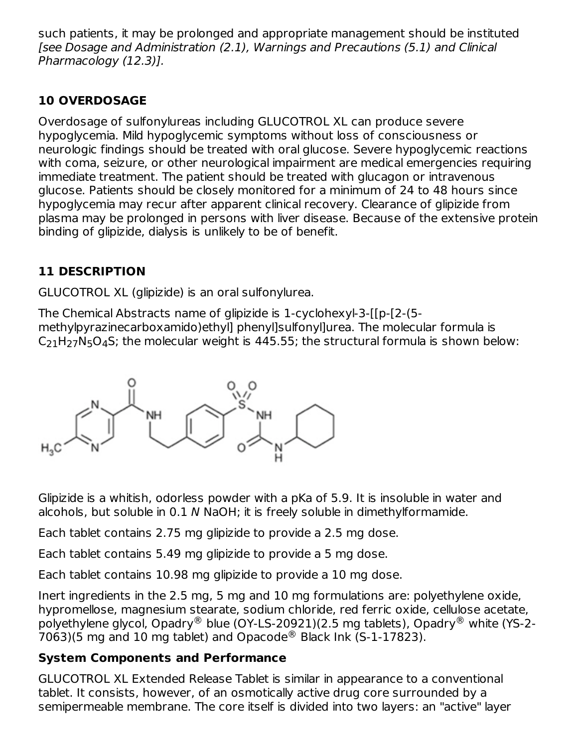such patients, it may be prolonged and appropriate management should be instituted [see Dosage and Administration (2.1), Warnings and Precautions (5.1) and Clinical Pharmacology (12.3)].

# **10 OVERDOSAGE**

Overdosage of sulfonylureas including GLUCOTROL XL can produce severe hypoglycemia. Mild hypoglycemic symptoms without loss of consciousness or neurologic findings should be treated with oral glucose. Severe hypoglycemic reactions with coma, seizure, or other neurological impairment are medical emergencies requiring immediate treatment. The patient should be treated with glucagon or intravenous glucose. Patients should be closely monitored for a minimum of 24 to 48 hours since hypoglycemia may recur after apparent clinical recovery. Clearance of glipizide from plasma may be prolonged in persons with liver disease. Because of the extensive protein binding of glipizide, dialysis is unlikely to be of benefit.

# **11 DESCRIPTION**

GLUCOTROL XL (glipizide) is an oral sulfonylurea.

The Chemical Abstracts name of glipizide is 1-cyclohexyl-3-[[p-[2-(5 methylpyrazinecarboxamido)ethyl] phenyl]sulfonyl]urea. The molecular formula is  $C_{21}H_{27}N_5O_4S$ ; the molecular weight is 445.55; the structural formula is shown below:



Glipizide is a whitish, odorless powder with a pKa of 5.9. It is insoluble in water and alcohols, but soluble in 0.1 N NaOH; it is freely soluble in dimethylformamide.

Each tablet contains 2.75 mg glipizide to provide a 2.5 mg dose.

Each tablet contains 5.49 mg glipizide to provide a 5 mg dose.

Each tablet contains 10.98 mg glipizide to provide a 10 mg dose.

Inert ingredients in the 2.5 mg, 5 mg and 10 mg formulations are: polyethylene oxide, hypromellose, magnesium stearate, sodium chloride, red ferric oxide, cellulose acetate, polyethylene glycol, Opadry® blue (OY-LS-20921)(2.5 mg tablets), Opadry® white (YS-2-7063)(5 mg and 10 mg tablet) and Opacode<sup>®</sup> Black Ink (S-1-17823).

# **System Components and Performance**

GLUCOTROL XL Extended Release Tablet is similar in appearance to a conventional tablet. It consists, however, of an osmotically active drug core surrounded by a semipermeable membrane. The core itself is divided into two layers: an "active" layer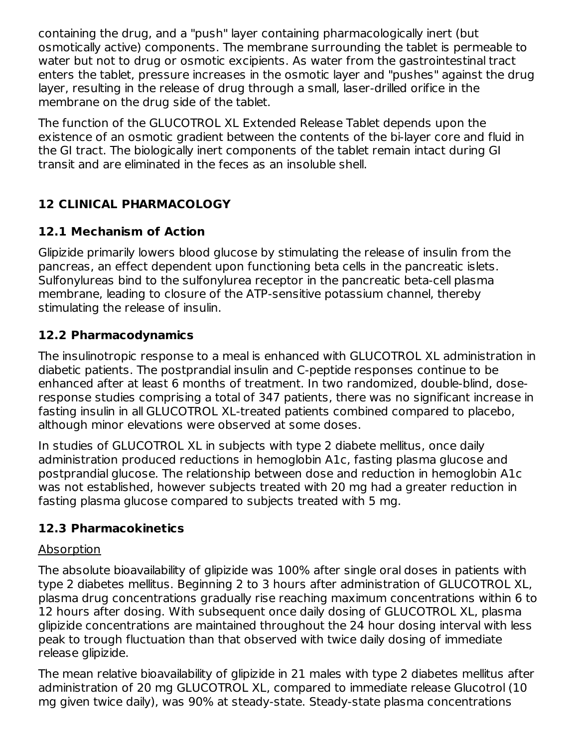containing the drug, and a "push" layer containing pharmacologically inert (but osmotically active) components. The membrane surrounding the tablet is permeable to water but not to drug or osmotic excipients. As water from the gastrointestinal tract enters the tablet, pressure increases in the osmotic layer and "pushes" against the drug layer, resulting in the release of drug through a small, laser-drilled orifice in the membrane on the drug side of the tablet.

The function of the GLUCOTROL XL Extended Release Tablet depends upon the existence of an osmotic gradient between the contents of the bi-layer core and fluid in the GI tract. The biologically inert components of the tablet remain intact during GI transit and are eliminated in the feces as an insoluble shell.

# **12 CLINICAL PHARMACOLOGY**

# **12.1 Mechanism of Action**

Glipizide primarily lowers blood glucose by stimulating the release of insulin from the pancreas, an effect dependent upon functioning beta cells in the pancreatic islets. Sulfonylureas bind to the sulfonylurea receptor in the pancreatic beta-cell plasma membrane, leading to closure of the ATP-sensitive potassium channel, thereby stimulating the release of insulin.

## **12.2 Pharmacodynamics**

The insulinotropic response to a meal is enhanced with GLUCOTROL XL administration in diabetic patients. The postprandial insulin and C-peptide responses continue to be enhanced after at least 6 months of treatment. In two randomized, double-blind, doseresponse studies comprising a total of 347 patients, there was no significant increase in fasting insulin in all GLUCOTROL XL-treated patients combined compared to placebo, although minor elevations were observed at some doses.

In studies of GLUCOTROL XL in subjects with type 2 diabete mellitus, once daily administration produced reductions in hemoglobin A1c, fasting plasma glucose and postprandial glucose. The relationship between dose and reduction in hemoglobin A1c was not established, however subjects treated with 20 mg had a greater reduction in fasting plasma glucose compared to subjects treated with 5 mg.

### **12.3 Pharmacokinetics**

#### Absorption

The absolute bioavailability of glipizide was 100% after single oral doses in patients with type 2 diabetes mellitus. Beginning 2 to 3 hours after administration of GLUCOTROL XL, plasma drug concentrations gradually rise reaching maximum concentrations within 6 to 12 hours after dosing. With subsequent once daily dosing of GLUCOTROL XL, plasma glipizide concentrations are maintained throughout the 24 hour dosing interval with less peak to trough fluctuation than that observed with twice daily dosing of immediate release glipizide.

The mean relative bioavailability of glipizide in 21 males with type 2 diabetes mellitus after administration of 20 mg GLUCOTROL XL, compared to immediate release Glucotrol (10 mg given twice daily), was 90% at steady-state. Steady-state plasma concentrations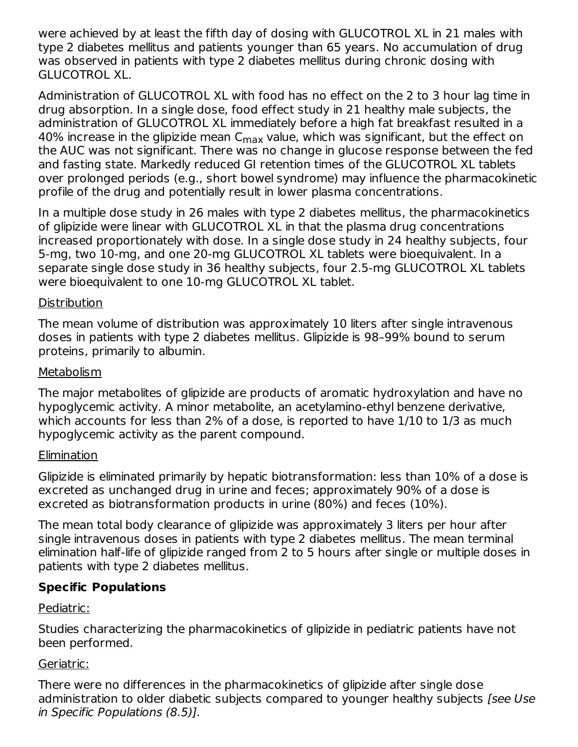were achieved by at least the fifth day of dosing with GLUCOTROL XL in 21 males with type 2 diabetes mellitus and patients younger than 65 years. No accumulation of drug was observed in patients with type 2 diabetes mellitus during chronic dosing with GLUCOTROL XL.

Administration of GLUCOTROL XL with food has no effect on the 2 to 3 hour lag time in drug absorption. In a single dose, food effect study in 21 healthy male subjects, the administration of GLUCOTROL XL immediately before a high fat breakfast resulted in a 40% increase in the glipizide mean C $_{\sf max}$  value, which was significant, but the effect on the AUC was not significant. There was no change in glucose response between the fed and fasting state. Markedly reduced GI retention times of the GLUCOTROL XL tablets over prolonged periods (e.g., short bowel syndrome) may influence the pharmacokinetic profile of the drug and potentially result in lower plasma concentrations.

In a multiple dose study in 26 males with type 2 diabetes mellitus, the pharmacokinetics of glipizide were linear with GLUCOTROL XL in that the plasma drug concentrations increased proportionately with dose. In a single dose study in 24 healthy subjects, four 5-mg, two 10-mg, and one 20-mg GLUCOTROL XL tablets were bioequivalent. In a separate single dose study in 36 healthy subjects, four 2.5-mg GLUCOTROL XL tablets were bioequivalent to one 10-mg GLUCOTROL XL tablet.

#### **Distribution**

The mean volume of distribution was approximately 10 liters after single intravenous doses in patients with type 2 diabetes mellitus. Glipizide is 98–99% bound to serum proteins, primarily to albumin.

#### Metabolism

The major metabolites of glipizide are products of aromatic hydroxylation and have no hypoglycemic activity. A minor metabolite, an acetylamino-ethyl benzene derivative, which accounts for less than 2% of a dose, is reported to have 1/10 to 1/3 as much hypoglycemic activity as the parent compound.

### **Elimination**

Glipizide is eliminated primarily by hepatic biotransformation: less than 10% of a dose is excreted as unchanged drug in urine and feces; approximately 90% of a dose is excreted as biotransformation products in urine (80%) and feces (10%).

The mean total body clearance of glipizide was approximately 3 liters per hour after single intravenous doses in patients with type 2 diabetes mellitus. The mean terminal elimination half-life of glipizide ranged from 2 to 5 hours after single or multiple doses in patients with type 2 diabetes mellitus.

# **Specific Populations**

### Pediatric:

Studies characterizing the pharmacokinetics of glipizide in pediatric patients have not been performed.

### Geriatric:

There were no differences in the pharmacokinetics of glipizide after single dose administration to older diabetic subjects compared to younger healthy subjects [see Use in Specific Populations (8.5)].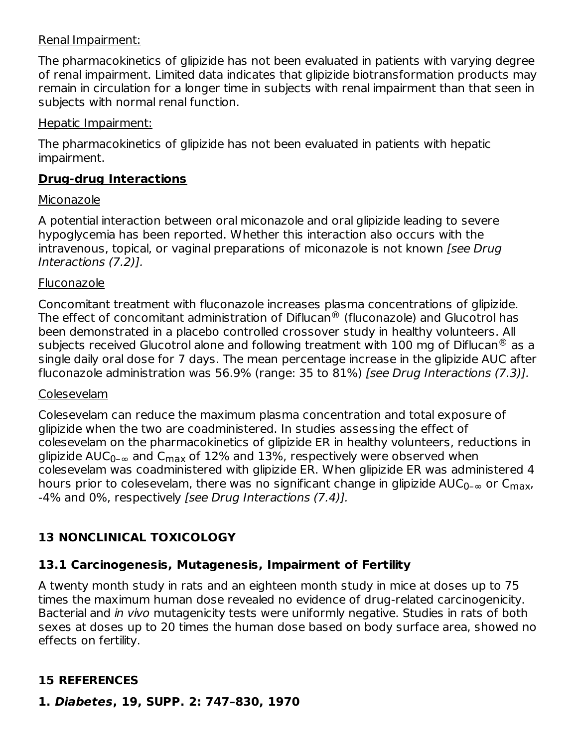#### Renal Impairment:

The pharmacokinetics of glipizide has not been evaluated in patients with varying degree of renal impairment. Limited data indicates that glipizide biotransformation products may remain in circulation for a longer time in subjects with renal impairment than that seen in subjects with normal renal function.

#### Hepatic Impairment:

The pharmacokinetics of glipizide has not been evaluated in patients with hepatic impairment.

#### **Drug-drug Interactions**

#### Miconazole

A potential interaction between oral miconazole and oral glipizide leading to severe hypoglycemia has been reported. Whether this interaction also occurs with the intravenous, topical, or vaginal preparations of miconazole is not known [see Drug Interactions (7.2)].

#### Fluconazole

Concomitant treatment with fluconazole increases plasma concentrations of glipizide. The effect of concomitant administration of Diflucan $^\circledR$  (fluconazole) and Glucotrol has been demonstrated in a placebo controlled crossover study in healthy volunteers. All subjects received Glucotrol alone and following treatment with 100 mg of Diflucan $^\circledR$  as a single daily oral dose for 7 days. The mean percentage increase in the glipizide AUC after fluconazole administration was 56.9% (range: 35 to 81%) [see Drug Interactions (7.3)].

#### Colesevelam

Colesevelam can reduce the maximum plasma concentration and total exposure of glipizide when the two are coadministered. In studies assessing the effect of colesevelam on the pharmacokinetics of glipizide ER in healthy volunteers, reductions in glipizide AUC $_{\rm 0- \infty}$  and C $_{\rm max}$  of 12% and 13%, respectively were observed when colesevelam was coadministered with glipizide ER. When glipizide ER was administered 4 hours prior to colesevelam, there was no significant change in glipizide AUC $_{\rm 0- \infty}$  or C $_{\rm max}$ , -4% and 0%, respectively [see Drug Interactions (7.4)].

# **13 NONCLINICAL TOXICOLOGY**

### **13.1 Carcinogenesis, Mutagenesis, Impairment of Fertility**

A twenty month study in rats and an eighteen month study in mice at doses up to 75 times the maximum human dose revealed no evidence of drug-related carcinogenicity. Bacterial and in vivo mutagenicity tests were uniformly negative. Studies in rats of both sexes at doses up to 20 times the human dose based on body surface area, showed no effects on fertility.

# **15 REFERENCES**

**1. Diabetes, 19, SUPP. 2: 747–830, 1970**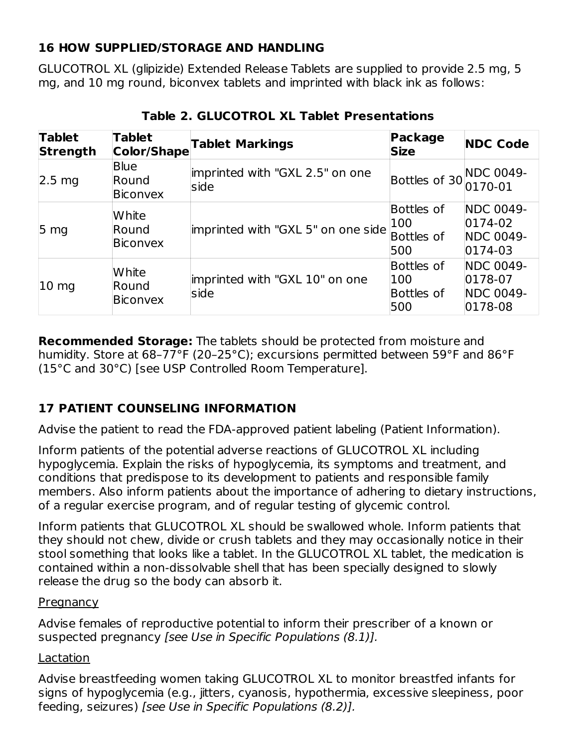## **16 HOW SUPPLIED/STORAGE AND HANDLING**

GLUCOTROL XL (glipizide) Extended Release Tablets are supplied to provide 2.5 mg, 5 mg, and 10 mg round, biconvex tablets and imprinted with black ink as follows:

| <b>Tablet</b><br><b>Strength</b> | <b>Tablet</b><br>Color/Shape     | <b>Tablet Markings</b>                  | <b>Package</b><br><b>Size</b>          | <b>NDC Code</b>                                                    |
|----------------------------------|----------------------------------|-----------------------------------------|----------------------------------------|--------------------------------------------------------------------|
| $2.5 \text{ mg}$                 | <b>Blue</b><br>Round<br>Biconvex | imprinted with "GXL 2.5" on one<br>side | Bottles of 30 NDC 0049-                |                                                                    |
| 5 <sub>mg</sub>                  | White<br>Round<br>Biconvex       | imprinted with "GXL 5" on one side      | Bottles of<br>100<br>Bottles of<br>500 | <b>NDC 0049-</b><br>$ 0174-02 $<br><b>NDC 0049-</b><br>$ 0174-03 $ |
| $10 \text{ mg}$                  | White<br>Round<br>Biconvex       | imprinted with "GXL 10" on one<br>side  | Bottles of<br>100<br>Bottles of<br>500 | <b>NDC 0049-</b><br>$ 0178-07$<br><b>NDC 0049-</b><br>$ 0178-08 $  |

**Table 2. GLUCOTROL XL Tablet Presentations**

**Recommended Storage:** The tablets should be protected from moisture and humidity. Store at 68–77°F (20–25°C); excursions permitted between 59°F and 86°F (15°C and 30°C) [see USP Controlled Room Temperature].

# **17 PATIENT COUNSELING INFORMATION**

Advise the patient to read the FDA-approved patient labeling (Patient Information).

Inform patients of the potential adverse reactions of GLUCOTROL XL including hypoglycemia. Explain the risks of hypoglycemia, its symptoms and treatment, and conditions that predispose to its development to patients and responsible family members. Also inform patients about the importance of adhering to dietary instructions, of a regular exercise program, and of regular testing of glycemic control.

Inform patients that GLUCOTROL XL should be swallowed whole. Inform patients that they should not chew, divide or crush tablets and they may occasionally notice in their stool something that looks like a tablet. In the GLUCOTROL XL tablet, the medication is contained within a non-dissolvable shell that has been specially designed to slowly release the drug so the body can absorb it.

#### **Pregnancy**

Advise females of reproductive potential to inform their prescriber of a known or suspected pregnancy [see Use in Specific Populations (8.1)].

#### Lactation

Advise breastfeeding women taking GLUCOTROL XL to monitor breastfed infants for signs of hypoglycemia (e.g., jitters, cyanosis, hypothermia, excessive sleepiness, poor feeding, seizures) [see Use in Specific Populations (8.2)].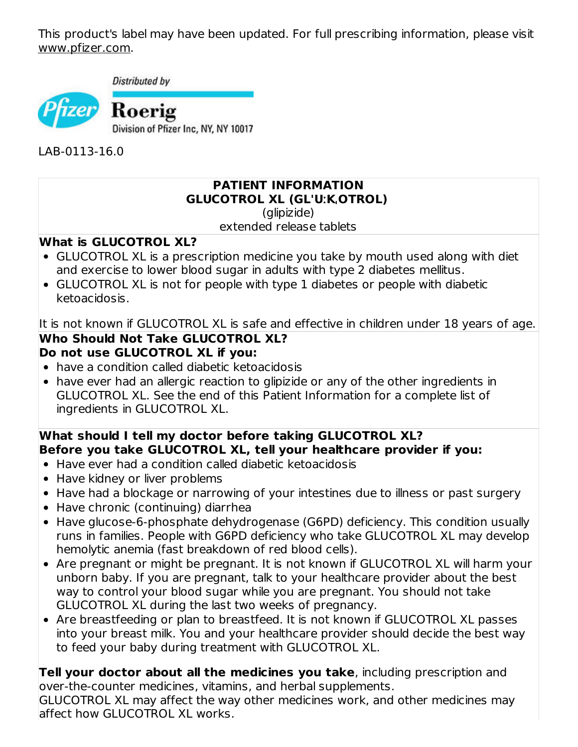This product's label may have been updated. For full prescribing information, please visit www.pfizer.com.

Distributed by



LAB-0113-16.0

## **PATIENT INFORMATION GLUCOTROL XL (GL'UːKˌOTROL)**

(glipizide)

extended release tablets

#### **What is GLUCOTROL XL?**

- GLUCOTROL XL is a prescription medicine you take by mouth used along with diet and exercise to lower blood sugar in adults with type 2 diabetes mellitus.
- GLUCOTROL XL is not for people with type 1 diabetes or people with diabetic ketoacidosis.

It is not known if GLUCOTROL XL is safe and effective in children under  $18$  years of age.

#### **Who Should Not Take GLUCOTROL XL? Do not use GLUCOTROL XL if you:**

- have a condition called diabetic ketoacidosis
- have ever had an allergic reaction to glipizide or any of the other ingredients in GLUCOTROL XL. See the end of this Patient Information for a complete list of ingredients in GLUCOTROL XL.

## **What should I tell my doctor before taking GLUCOTROL XL? Before you take GLUCOTROL XL, tell your healthcare provider if you:**

- Have ever had a condition called diabetic ketoacidosis
- Have kidney or liver problems
- Have had a blockage or narrowing of your intestines due to illness or past surgery
- Have chronic (continuing) diarrhea
- Have glucose-6-phosphate dehydrogenase (G6PD) deficiency. This condition usually runs in families. People with G6PD deficiency who take GLUCOTROL XL may develop hemolytic anemia (fast breakdown of red blood cells).
- Are pregnant or might be pregnant. It is not known if GLUCOTROL XL will harm your unborn baby. If you are pregnant, talk to your healthcare provider about the best way to control your blood sugar while you are pregnant. You should not take GLUCOTROL XL during the last two weeks of pregnancy.
- Are breastfeeding or plan to breastfeed. It is not known if GLUCOTROL XL passes into your breast milk. You and your healthcare provider should decide the best way to feed your baby during treatment with GLUCOTROL XL.

**Tell your doctor about all the medicines you take**, including prescription and over-the-counter medicines, vitamins, and herbal supplements.

GLUCOTROL XL may affect the way other medicines work, and other medicines may affect how GLUCOTROL XL works.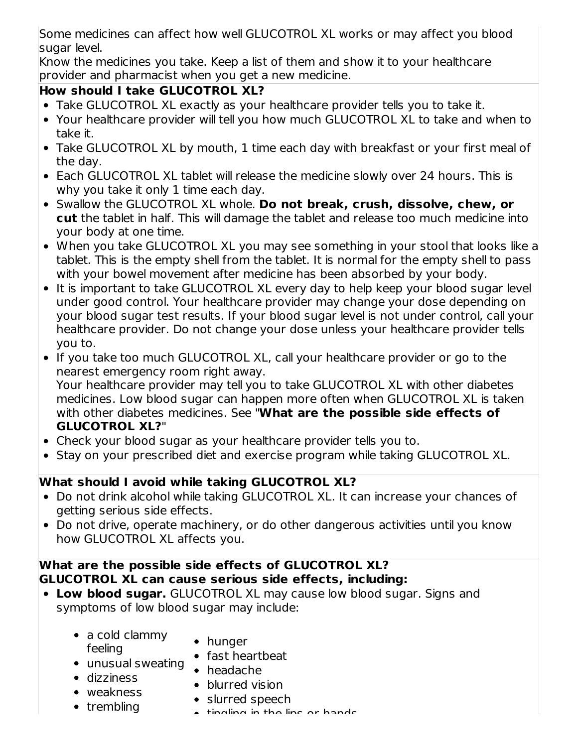Some medicines can affect how well GLUCOTROL XL works or may affect you blood sugar level.

Know the medicines you take. Keep a list of them and show it to your healthcare provider and pharmacist when you get a new medicine.

# **How should I take GLUCOTROL XL?**

- Take GLUCOTROL XL exactly as your healthcare provider tells you to take it.
- Your healthcare provider will tell you how much GLUCOTROL XL to take and when to take it.
- Take GLUCOTROL XL by mouth, 1 time each day with breakfast or your first meal of the day.
- Each GLUCOTROL XL tablet will release the medicine slowly over 24 hours. This is why you take it only 1 time each day.
- Swallow the GLUCOTROL XL whole. **Do not break, crush, dissolve, chew, or cut** the tablet in half. This will damage the tablet and release too much medicine into your body at one time.
- When you take GLUCOTROL XL you may see something in your stool that looks like a tablet. This is the empty shell from the tablet. It is normal for the empty shell to pass with your bowel movement after medicine has been absorbed by your body.
- It is important to take GLUCOTROL XL every day to help keep your blood sugar level under good control. Your healthcare provider may change your dose depending on your blood sugar test results. If your blood sugar level is not under control, call your healthcare provider. Do not change your dose unless your healthcare provider tells you to.
- If you take too much GLUCOTROL XL, call your healthcare provider or go to the nearest emergency room right away. Your healthcare provider may tell you to take GLUCOTROL XL with other diabetes

medicines. Low blood sugar can happen more often when GLUCOTROL XL is taken with other diabetes medicines. See "**What are the possible side effects of GLUCOTROL XL?**"

- Check your blood sugar as your healthcare provider tells you to.
- Stay on your prescribed diet and exercise program while taking GLUCOTROL XL.

# **What should I avoid while taking GLUCOTROL XL?**

- Do not drink alcohol while taking GLUCOTROL XL. It can increase your chances of getting serious side effects.
- Do not drive, operate machinery, or do other dangerous activities until you know how GLUCOTROL XL affects you.

### **What are the possible side effects of GLUCOTROL XL? GLUCOTROL XL can cause serious side effects, including:**

- **Low blood sugar.** GLUCOTROL XL may cause low blood sugar. Signs and symptoms of low blood sugar may include:
	- a cold clammy feeling
- hunger
- unusual sweating • fast heartbeat
- dizziness
- headache • blurred vision
- weakness
- $\bullet$  trembling
- slurred speech
- tingling in the lips or hands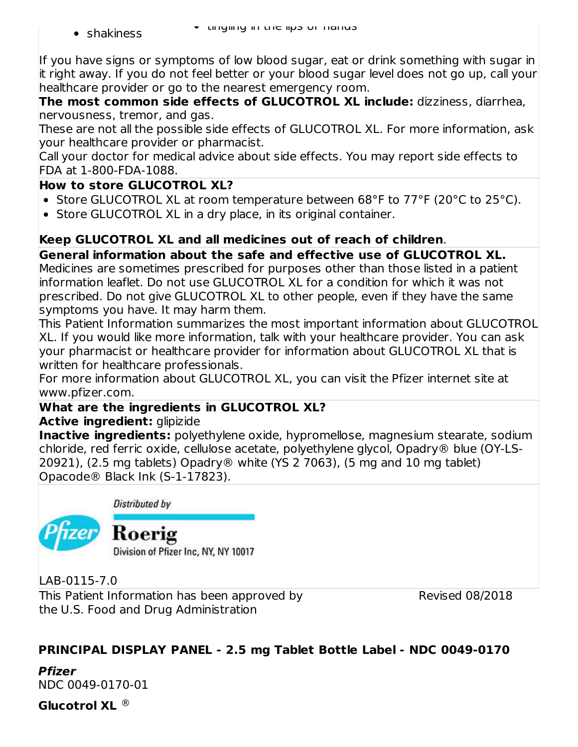• shakiness

If you have signs or symptoms of low blood sugar, eat or drink something with sugar in it right away. If you do not feel better or your blood sugar level does not go up, call your healthcare provider or go to the nearest emergency room.

**The most common side effects of GLUCOTROL XL include:** dizziness, diarrhea, nervousness, tremor, and gas.

These are not all the possible side effects of GLUCOTROL XL. For more information, ask your healthcare provider or pharmacist.

Call your doctor for medical advice about side effects. You may report side effects to FDA at 1-800-FDA-1088.

# **How to store GLUCOTROL XL?**

- Store GLUCOTROL XL at room temperature between 68°F to 77°F (20°C to 25°C).
- Store GLUCOTROL XL in a dry place, in its original container.

# **Keep GLUCOTROL XL and all medicines out of reach of children**.

**General information about the safe and effective use of GLUCOTROL XL.** Medicines are sometimes prescribed for purposes other than those listed in a patient information leaflet. Do not use GLUCOTROL XL for a condition for which it was not prescribed. Do not give GLUCOTROL XL to other people, even if they have the same symptoms you have. It may harm them.

This Patient Information summarizes the most important information about GLUCOTROL XL. If you would like more information, talk with your healthcare provider. You can ask your pharmacist or healthcare provider for information about GLUCOTROL XL that is written for healthcare professionals.

For more information about GLUCOTROL XL, you can visit the Pfizer internet site at www.pfizer.com.

# **What are the ingredients in GLUCOTROL XL?**

# **Active ingredient:** glipizide

**Inactive ingredients:** polyethylene oxide, hypromellose, magnesium stearate, sodium chloride, red ferric oxide, cellulose acetate, polyethylene glycol, Opadry® blue (OY-LS-20921), (2.5 mg tablets) Opadry® white (YS 2 7063), (5 mg and 10 mg tablet) Opacode® Black Ink (S-1-17823).

Distributed by

Roerig

Division of Pfizer Inc, NY, NY 10017

LAB-0115-7.0

This Patient Information has been approved by the U.S. Food and Drug Administration

Revised 08/2018

# **PRINCIPAL DISPLAY PANEL - 2.5 mg Tablet Bottle Label - NDC 0049-0170**

**Pfizer** NDC 0049-0170-01

**Glucotrol XL** ®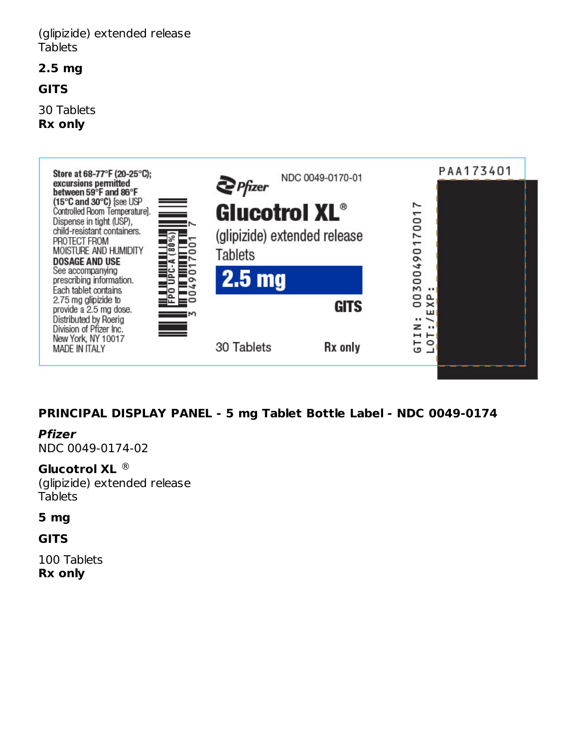#### (glipizide) extended release **Tablets**

**2.5 mg**

#### **GITS**

30 Tablets **Rx only**



### **PRINCIPAL DISPLAY PANEL - 5 mg Tablet Bottle Label - NDC 0049-0174**

#### **Pfizer**

NDC 0049-0174-02

#### **Glucotrol XL** ®

(glipizide) extended release **Tablets** 

#### **5 mg**

**GITS**

100 Tablets **Rx only**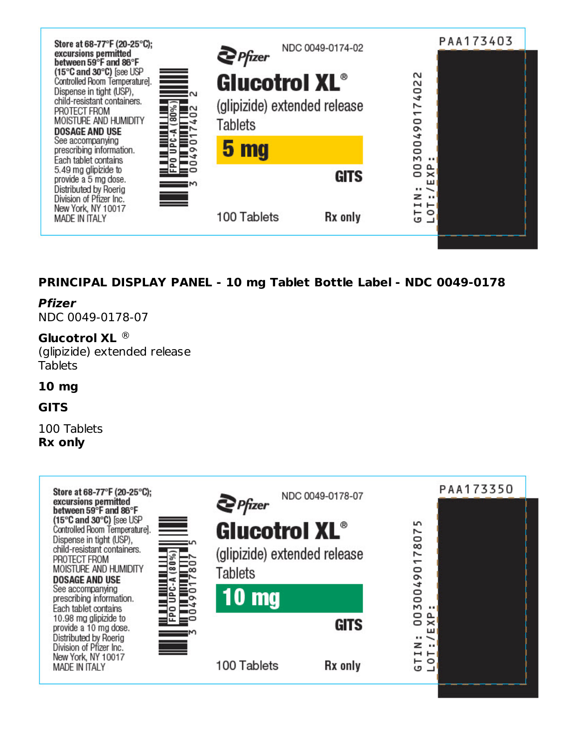

## **PRINCIPAL DISPLAY PANEL - 10 mg Tablet Bottle Label - NDC 0049-0178**

**Pfizer** NDC 0049-0178-07

**Glucotrol XL** ®(glipizide) extended release **Tablets** 

#### **10 mg**

#### **GITS**

100 Tablets **Rx only**

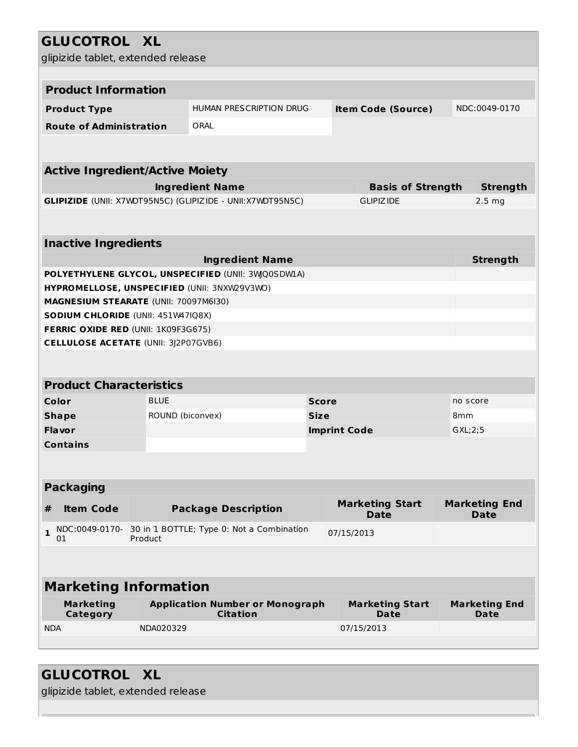# **GLUCOTROL XL**

| glipizide tablet, extended release                                                                         |                                        |                                                                   |              |                     |                                |               |                              |  |  |
|------------------------------------------------------------------------------------------------------------|----------------------------------------|-------------------------------------------------------------------|--------------|---------------------|--------------------------------|---------------|------------------------------|--|--|
|                                                                                                            |                                        |                                                                   |              |                     |                                |               |                              |  |  |
| <b>Product Information</b>                                                                                 |                                        |                                                                   |              |                     |                                |               |                              |  |  |
| <b>Product Type</b>                                                                                        |                                        | HUMAN PRESCRIPTION DRUG<br><b>Item Code (Source)</b>              |              |                     |                                | NDC:0049-0170 |                              |  |  |
| <b>Route of Administration</b>                                                                             |                                        | ORAL                                                              |              |                     |                                |               |                              |  |  |
|                                                                                                            |                                        |                                                                   |              |                     |                                |               |                              |  |  |
|                                                                                                            | <b>Active Ingredient/Active Moiety</b> |                                                                   |              |                     |                                |               |                              |  |  |
|                                                                                                            |                                        | <b>Ingredient Name</b>                                            |              |                     | <b>Basis of Strength</b>       |               | <b>Strength</b>              |  |  |
|                                                                                                            |                                        | <b>GLIPIZIDE</b> (UNII: X7WDT95N5C) (GLIPIZIDE - UNII:X7WDT95N5C) |              |                     | <b>GLIPIZIDE</b>               |               | $2.5 \text{ mg}$             |  |  |
|                                                                                                            |                                        |                                                                   |              |                     |                                |               |                              |  |  |
| <b>Inactive Ingredients</b>                                                                                |                                        |                                                                   |              |                     |                                |               |                              |  |  |
|                                                                                                            |                                        | <b>Ingredient Name</b>                                            |              |                     |                                |               | <b>Strength</b>              |  |  |
|                                                                                                            |                                        | POLYETHYLENE GLYCOL, UNSPECIFIED (UNII: 3WQ0SDWIA)                |              |                     |                                |               |                              |  |  |
| HYPROMELLOSE, UNSPECIFIED (UNII: 3NXW29V3WO)                                                               |                                        |                                                                   |              |                     |                                |               |                              |  |  |
| MAGNESIUM STEARATE (UNII: 70097M6I30)                                                                      |                                        |                                                                   |              |                     |                                |               |                              |  |  |
| SODIUM CHLORIDE (UNII: 451W47IQ8X)                                                                         |                                        |                                                                   |              |                     |                                |               |                              |  |  |
| FERRIC OXIDE RED (UNII: 1K09F3G675)                                                                        |                                        |                                                                   |              |                     |                                |               |                              |  |  |
| <b>CELLULOSE ACETATE (UNII: 3J2P07GVB6)</b>                                                                |                                        |                                                                   |              |                     |                                |               |                              |  |  |
|                                                                                                            |                                        |                                                                   |              |                     |                                |               |                              |  |  |
| <b>Product Characteristics</b>                                                                             |                                        |                                                                   |              |                     |                                |               |                              |  |  |
| Color                                                                                                      | <b>BLUE</b>                            |                                                                   | <b>Score</b> |                     |                                |               | no score                     |  |  |
| <b>Shape</b>                                                                                               | ROUND (biconvex)                       |                                                                   | <b>Size</b>  |                     |                                | 8mm           |                              |  |  |
| Flavor                                                                                                     |                                        |                                                                   |              | <b>Imprint Code</b> |                                |               | GXL:2:5                      |  |  |
| <b>Contains</b>                                                                                            |                                        |                                                                   |              |                     |                                |               |                              |  |  |
|                                                                                                            |                                        |                                                                   |              |                     |                                |               |                              |  |  |
| <b>Packaging</b>                                                                                           |                                        |                                                                   |              |                     |                                |               |                              |  |  |
| <b>Item Code</b><br>#                                                                                      |                                        |                                                                   |              |                     | <b>Marketing Start</b>         |               | <b>Marketing End</b>         |  |  |
|                                                                                                            |                                        | <b>Package Description</b><br><b>Date</b>                         |              |                     |                                |               | <b>Date</b>                  |  |  |
| NDC:0049-0170-<br>30 in 1 BOTTLE; Type 0: Not a Combination<br>$\mathbf{1}$<br>07/15/2013<br>Product<br>01 |                                        |                                                                   |              |                     |                                |               |                              |  |  |
|                                                                                                            |                                        |                                                                   |              |                     |                                |               |                              |  |  |
| <b>Marketing Information</b>                                                                               |                                        |                                                                   |              |                     |                                |               |                              |  |  |
|                                                                                                            |                                        |                                                                   |              |                     |                                |               |                              |  |  |
| <b>Marketing</b><br><b>Category</b>                                                                        |                                        | <b>Application Number or Monograph</b><br><b>Citation</b>         |              |                     | <b>Marketing Start</b><br>Date |               | <b>Marketing End</b><br>Date |  |  |
| <b>NDA</b>                                                                                                 | NDA020329                              |                                                                   |              |                     | 07/15/2013                     |               |                              |  |  |
|                                                                                                            |                                        |                                                                   |              |                     |                                |               |                              |  |  |

# **GLUCOTROL XL**

glipizide tablet, extended release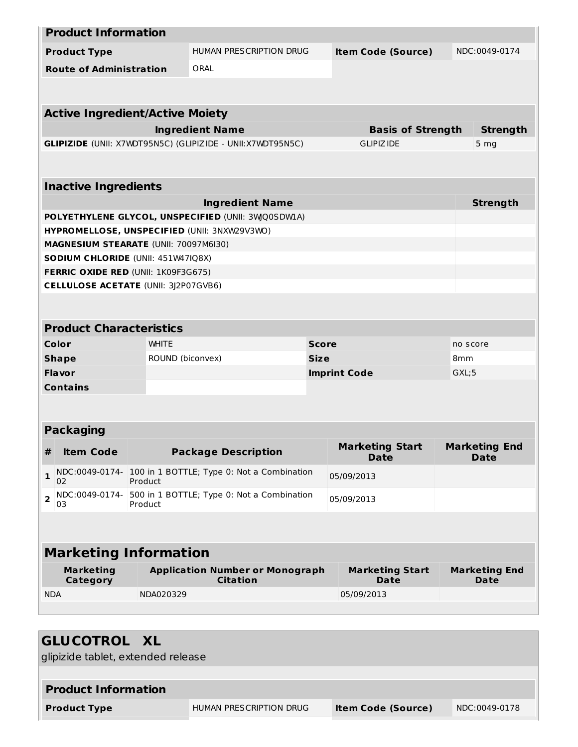|                | <b>Product Information</b>                                                                  |                  |                                                                   |              |                     |                                       |                 |                                     |  |
|----------------|---------------------------------------------------------------------------------------------|------------------|-------------------------------------------------------------------|--------------|---------------------|---------------------------------------|-----------------|-------------------------------------|--|
|                | <b>Product Type</b>                                                                         |                  | <b>HUMAN PRESCRIPTION DRUG</b>                                    |              |                     | <b>Item Code (Source)</b>             |                 | NDC:0049-0174                       |  |
|                | <b>Route of Administration</b>                                                              |                  | ORAL                                                              |              |                     |                                       |                 |                                     |  |
|                |                                                                                             |                  |                                                                   |              |                     |                                       |                 |                                     |  |
|                |                                                                                             |                  |                                                                   |              |                     |                                       |                 |                                     |  |
|                | <b>Active Ingredient/Active Moiety</b>                                                      |                  |                                                                   |              |                     |                                       |                 |                                     |  |
|                |                                                                                             |                  | <b>Ingredient Name</b>                                            |              |                     | <b>Basis of Strength</b>              |                 | <b>Strength</b>                     |  |
|                |                                                                                             |                  | <b>GLIPIZIDE</b> (UNII: X7WDT95N5C) (GLIPIZIDE - UNII:X7WDT95N5C) |              |                     | <b>GLIPIZIDE</b>                      |                 | 5 <sub>mg</sub>                     |  |
|                |                                                                                             |                  |                                                                   |              |                     |                                       |                 |                                     |  |
|                | <b>Inactive Ingredients</b>                                                                 |                  |                                                                   |              |                     |                                       |                 |                                     |  |
|                |                                                                                             |                  | <b>Ingredient Name</b>                                            |              |                     |                                       |                 | <b>Strength</b>                     |  |
|                |                                                                                             |                  | POLYETHYLENE GLYCOL, UNSPECIFIED (UNII: 3WQ0SDWLA)                |              |                     |                                       |                 |                                     |  |
|                |                                                                                             |                  | HYPROMELLOSE, UNSPECIFIED (UNII: 3NXW29V3WO)                      |              |                     |                                       |                 |                                     |  |
|                | MAGNESIUM STEARATE (UNII: 70097M6I30)                                                       |                  |                                                                   |              |                     |                                       |                 |                                     |  |
|                | SODIUM CHLORIDE (UNII: 451W47IQ8X)                                                          |                  |                                                                   |              |                     |                                       |                 |                                     |  |
|                | FERRIC OXIDE RED (UNII: 1K09F3G675)                                                         |                  |                                                                   |              |                     |                                       |                 |                                     |  |
|                | <b>CELLULOSE ACETATE (UNII: 3J2P07GVB6)</b>                                                 |                  |                                                                   |              |                     |                                       |                 |                                     |  |
|                |                                                                                             |                  |                                                                   |              |                     |                                       |                 |                                     |  |
|                | <b>Product Characteristics</b>                                                              |                  |                                                                   |              |                     |                                       |                 |                                     |  |
|                | Color                                                                                       | <b>WHITE</b>     |                                                                   | <b>Score</b> |                     |                                       |                 | no score                            |  |
|                | <b>Shape</b>                                                                                | ROUND (biconvex) |                                                                   | <b>Size</b>  |                     |                                       | 8 <sub>mm</sub> |                                     |  |
|                | <b>Flavor</b>                                                                               |                  |                                                                   |              | <b>Imprint Code</b> |                                       | GXL;5           |                                     |  |
|                | <b>Contains</b>                                                                             |                  |                                                                   |              |                     |                                       |                 |                                     |  |
|                |                                                                                             |                  |                                                                   |              |                     |                                       |                 |                                     |  |
|                | <b>Packaging</b>                                                                            |                  |                                                                   |              |                     |                                       |                 |                                     |  |
| #              | <b>Item Code</b>                                                                            |                  | <b>Package Description</b>                                        |              |                     | <b>Marketing Start</b><br><b>Date</b> |                 | <b>Marketing End</b><br><b>Date</b> |  |
| 1              | NDC:0049-0174-<br>02                                                                        | Product          | 100 in 1 BOTTLE; Type 0: Not a Combination                        |              | 05/09/2013          |                                       |                 |                                     |  |
| $\overline{2}$ | NDC:0049-0174-<br>500 in 1 BOTTLE; Type 0: Not a Combination<br>05/09/2013<br>03<br>Product |                  |                                                                   |              |                     |                                       |                 |                                     |  |
|                |                                                                                             |                  |                                                                   |              |                     |                                       |                 |                                     |  |
|                |                                                                                             |                  |                                                                   |              |                     |                                       |                 |                                     |  |
|                | <b>Marketing Information</b>                                                                |                  |                                                                   |              |                     |                                       |                 |                                     |  |
|                | <b>Marketing</b><br><b>Category</b>                                                         |                  | <b>Application Number or Monograph</b><br><b>Citation</b>         |              |                     | <b>Marketing Start</b><br><b>Date</b> |                 | <b>Marketing End</b><br><b>Date</b> |  |
| <b>NDA</b>     |                                                                                             | NDA020329        |                                                                   |              |                     | 05/09/2013                            |                 |                                     |  |
|                |                                                                                             |                  |                                                                   |              |                     |                                       |                 |                                     |  |
|                |                                                                                             |                  |                                                                   |              |                     |                                       |                 |                                     |  |

| <b>GLUCOTROL XL</b><br>glipizide tablet, extended release |                         |                           |               |  |  |
|-----------------------------------------------------------|-------------------------|---------------------------|---------------|--|--|
| <b>Product Information</b>                                |                         |                           |               |  |  |
| <b>Product Type</b>                                       | HUMAN PRESCRIPTION DRUG | <b>Item Code (Source)</b> | NDC:0049-0178 |  |  |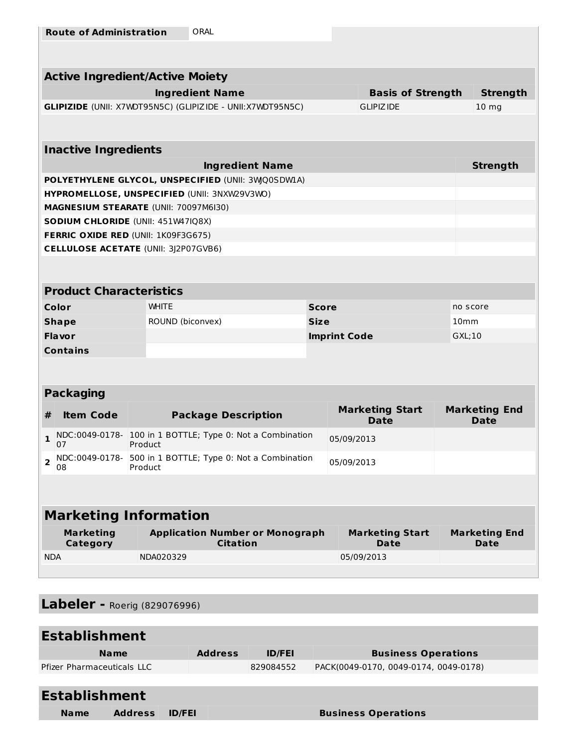| <b>Route of Administration</b> | ORAL |
|--------------------------------|------|
|--------------------------------|------|

|                              |                                | <b>Active Ingredient/Active Moiety</b>       |                                                                   |                     |            |                                       |                                     |  |
|------------------------------|--------------------------------|----------------------------------------------|-------------------------------------------------------------------|---------------------|------------|---------------------------------------|-------------------------------------|--|
|                              |                                | <b>Ingredient Name</b>                       |                                                                   |                     |            | <b>Basis of Strength</b>              | <b>Strength</b>                     |  |
|                              |                                |                                              | <b>GLIPIZIDE</b> (UNII: X7WDT95N5C) (GLIPIZIDE - UNII:X7WDT95N5C) |                     |            | <b>GLIPIZIDE</b>                      | 10 <sub>mg</sub>                    |  |
|                              |                                |                                              |                                                                   |                     |            |                                       |                                     |  |
|                              | <b>Inactive Ingredients</b>    |                                              |                                                                   |                     |            |                                       |                                     |  |
|                              |                                |                                              | <b>Ingredient Name</b>                                            |                     |            |                                       | <b>Strength</b>                     |  |
|                              |                                |                                              | POLYETHYLENE GLYCOL, UNSPECIFIED (UNII: 3WQ0SDWIA)                |                     |            |                                       |                                     |  |
|                              |                                | HYPROMELLOSE, UNSPECIFIED (UNII: 3NXW29V3WO) |                                                                   |                     |            |                                       |                                     |  |
|                              |                                | <b>MAGNESIUM STEARATE (UNII: 70097M6I30)</b> |                                                                   |                     |            |                                       |                                     |  |
|                              |                                | SODIUM CHLORIDE (UNII: 451W47IQ8X)           |                                                                   |                     |            |                                       |                                     |  |
|                              |                                | FERRIC OXIDE RED (UNII: 1K09F3G675)          |                                                                   |                     |            |                                       |                                     |  |
|                              |                                | <b>CELLULOSE ACETATE (UNII: 3)2P07GVB6)</b>  |                                                                   |                     |            |                                       |                                     |  |
|                              |                                |                                              |                                                                   |                     |            |                                       |                                     |  |
|                              | <b>Product Characteristics</b> |                                              |                                                                   |                     |            |                                       |                                     |  |
| Color                        |                                | <b>WHITE</b>                                 |                                                                   | <b>Score</b>        |            |                                       | no score                            |  |
|                              | <b>Shape</b>                   | ROUND (biconvex)                             |                                                                   | <b>Size</b>         |            |                                       | 10 <sub>mm</sub>                    |  |
|                              | Flavor                         |                                              |                                                                   | <b>Imprint Code</b> |            | GXL;10                                |                                     |  |
|                              | <b>Contains</b>                |                                              |                                                                   |                     |            |                                       |                                     |  |
|                              |                                |                                              |                                                                   |                     |            |                                       |                                     |  |
|                              | <b>Packaging</b>               |                                              |                                                                   |                     |            |                                       |                                     |  |
| #                            | <b>Item Code</b>               |                                              | <b>Package Description</b>                                        |                     |            | <b>Marketing Start</b><br><b>Date</b> | <b>Marketing End</b><br><b>Date</b> |  |
| $\mathbf{1}$                 | NDC:0049-0178-<br>07           | Product                                      | 100 in 1 BOTTLE; Type 0: Not a Combination                        |                     | 05/09/2013 |                                       |                                     |  |
| 2                            | NDC:0049-0178-<br>08           | Product                                      | 500 in 1 BOTTLE; Type 0: Not a Combination                        |                     | 05/09/2013 |                                       |                                     |  |
|                              |                                |                                              |                                                                   |                     |            |                                       |                                     |  |
| <b>Marketing Information</b> |                                |                                              |                                                                   |                     |            |                                       |                                     |  |
|                              | <b>Marketing</b><br>Category   |                                              | <b>Application Number or Monograph</b><br><b>Citation</b>         |                     |            | <b>Marketing Start</b><br><b>Date</b> | <b>Marketing End</b><br><b>Date</b> |  |
| <b>NDA</b>                   |                                | NDA020329                                    |                                                                   |                     |            | 05/09/2013                            |                                     |  |
|                              |                                |                                              |                                                                   |                     |            |                                       |                                     |  |

**Labeler -** Roerig (829076996)

| <b>Establishment</b>              |                |                |               |                                       |  |  |
|-----------------------------------|----------------|----------------|---------------|---------------------------------------|--|--|
| <b>Name</b>                       |                | <b>Address</b> | <b>ID/FEI</b> | <b>Business Operations</b>            |  |  |
| <b>Pfizer Pharmaceuticals LLC</b> |                |                | 829084552     | PACK(0049-0170, 0049-0174, 0049-0178) |  |  |
| <b>Establishment</b>              |                |                |               |                                       |  |  |
| <b>Name</b>                       | <b>Address</b> | <b>ID/FEI</b>  |               | <b>Business Operations</b>            |  |  |